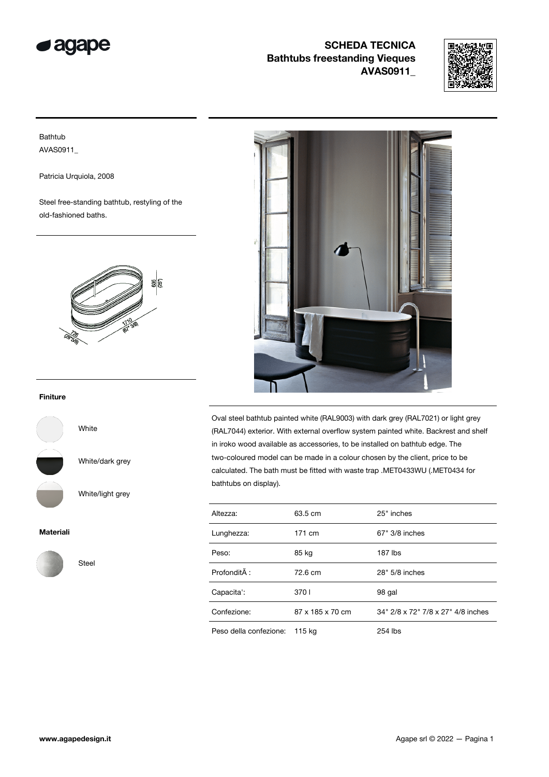



### Bathtub AVAS0911\_

Patricia Urquiola, 2008

Steel free-standing bathtub, restyling of the old-fashioned baths.



#### Finiture



White/dark grey

White

Steel

White/light grey

#### Materiali





Oval steel bathtub painted white (RAL9003) with dark grey (RAL7021) or light grey (RAL7044) exterior. With external overflow system painted white. Backrest and shelf in iroko wood available as accessories, to be installed on bathtub edge. The two-coloured model can be made in a colour chosen by the client, price to be calculated. The bath must be fitted with waste trap .MET0433WU (.MET0434 for bathtubs on display).

| Altezza:               | 63.5 cm          | 25" inches                         |
|------------------------|------------------|------------------------------------|
| Lunghezza:             | 171 cm           | 67" 3/8 inches                     |
| Peso:                  | 85 kg            | 187 lbs                            |
| Profondità :           | 72.6 cm          | 28" 5/8 inches                     |
| Capacita':             | 3701             | 98 gal                             |
| Confezione:            | 87 x 185 x 70 cm | 34" 2/8 x 72" 7/8 x 27" 4/8 inches |
| Peso della confezione: | 115 kg           | 254 lbs                            |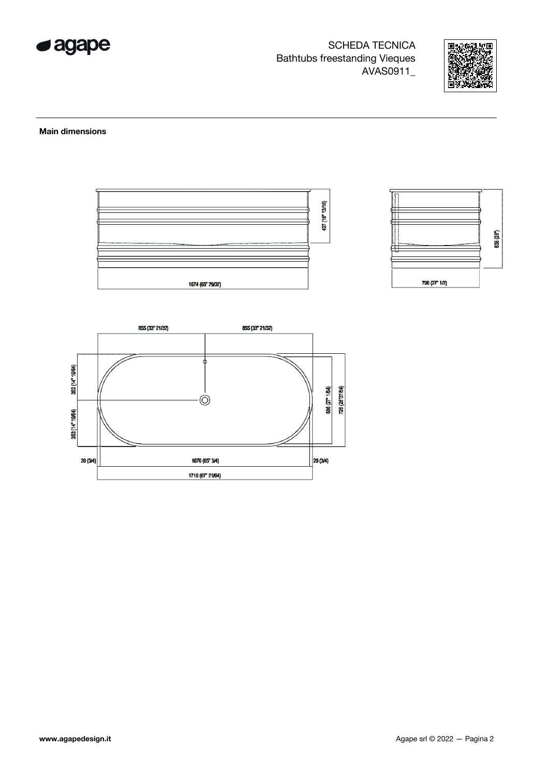



#### **Main dimensions**



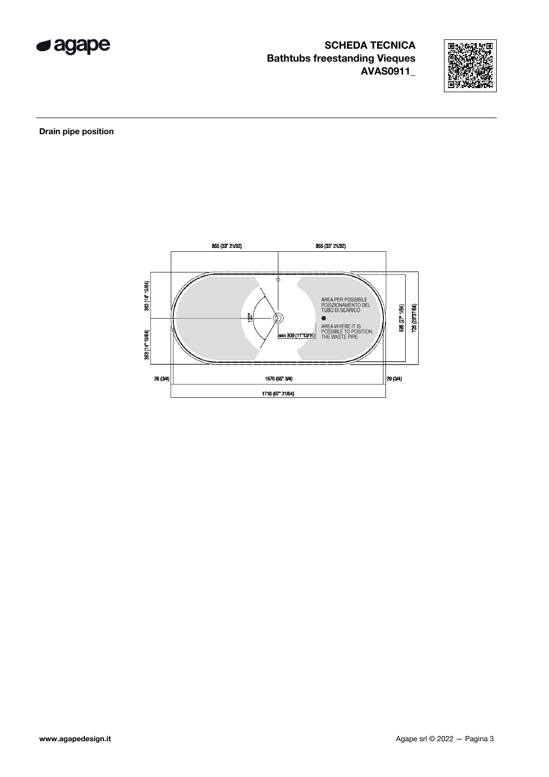



Drain pipe position

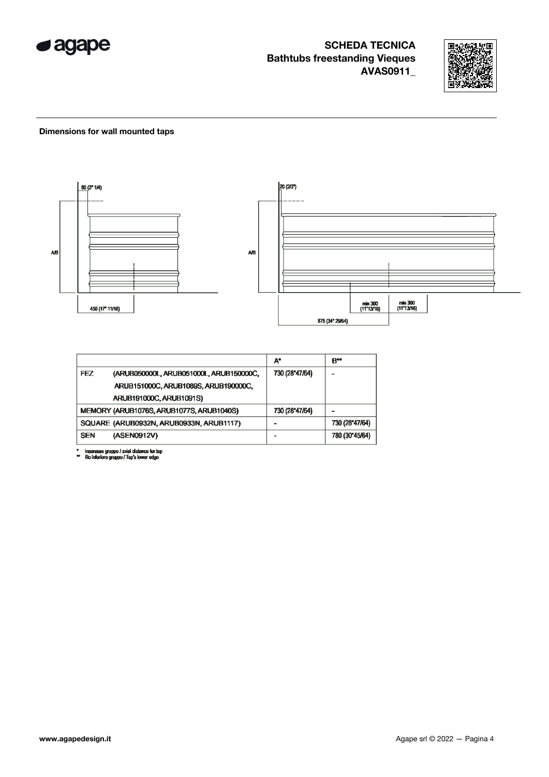



#### Dimensions for wall mounted taps



|            |                                          | $A^*$          | B**            |
|------------|------------------------------------------|----------------|----------------|
| FEZ        | (ARUB050000L, ARUB051000L, ARUB150000C,  | 730 (28"47/64) |                |
|            | ARUB151000C, ARUB1089S, ARUB190000C,     |                |                |
|            | ARUB191000C, ARUB1091S)                  |                |                |
|            | MEMORY (ARUB1076S, ARUB1077S, ARUB1040S) | 730 (28"47/64) |                |
|            | SQUARE (ARUB0932N, ARUB0933N, ARUB1117)  |                | 730 (28"47/64) |
| <b>SEN</b> | (ASEN0912V)                              |                | 780 (30"45/64) |

\* inserasse gruppo / axial distance for tap<br>\*\* filo inferiore gruppo / Tap's lower edge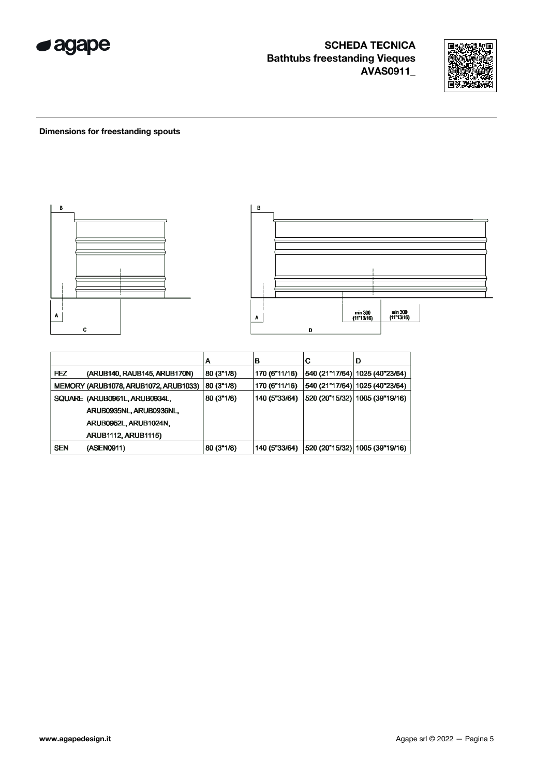



### **Dimensions for freestanding spouts**



|            |                                       | А          | B             | С | D                               |
|------------|---------------------------------------|------------|---------------|---|---------------------------------|
| <b>FEZ</b> | (ARUB140, RAUB145, ARUB170N)          | 80 (3"1/8) | 170 (6"11/16) |   | 540 (21"17/64)  1025 (40"23/64) |
|            | MEMORY (ARUB1078, ARUB1072, ARUB1033) | 80 (3"1/8) | 170 (6"11/16) |   | 540 (21"17/64)  1025 (40"23/64) |
|            | SQUARE (ARUB0961L, ARUB0934L,         | 80 (3"1/8) | 140 (5"33/64) |   | 520 (20"15/32)  1005 (39"19/16) |
|            | ARUB0935NL, ARUB0936NL,               |            |               |   |                                 |
|            | ARUB0952L, ARUB1024N,                 |            |               |   |                                 |
|            | <b>ARUB1112, ARUB1115)</b>            |            |               |   |                                 |
| <b>SEN</b> | (ASEN0911)                            | 80 (3"1/8) | 140 (5"33/64) |   | 520 (20"15/32) 1005 (39"19/16)  |